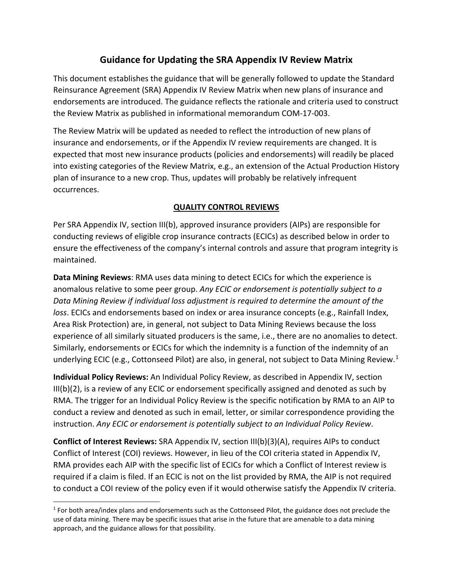# **Guidance for Updating the SRA Appendix IV Review Matrix**

 This document establishes the guidance that will be generally followed to update the Standard the Review Matrix as published in informational memorandum COM-17-003. Reinsurance Agreement (SRA) Appendix IV Review Matrix when new plans of insurance and endorsements are introduced. The guidance reflects the rationale and criteria used to construct

 insurance and endorsements, or if the Appendix IV review requirements are changed. It is expected that most new insurance products (policies and endorsements) will readily be placed occurrences. The Review Matrix will be updated as needed to reflect the introduction of new plans of into existing categories of the Review Matrix, e.g., an extension of the Actual Production History plan of insurance to a new crop. Thus, updates will probably be relatively infrequent

# **QUALITY CONTROL REVIEWS**

 Per SRA Appendix IV, section III(b), approved insurance providers (AIPs) are responsible for  maintained. conducting reviews of eligible crop insurance contracts (ECICs) as described below in order to ensure the effectiveness of the company's internal controls and assure that program integrity is

 *loss*. ECICs and endorsements based on index or area insurance concepts (e.g., Rainfall Index, **Data Mining Reviews**: RMA uses data mining to detect ECICs for which the experience is anomalous relative to some peer group. *Any ECIC or endorsement is potentially subject to a Data Mining Review if individual loss adjustment is required to determine the amount of the*  Area Risk Protection) are, in general, not subject to Data Mining Reviews because the loss experience of all similarly situated producers is the same, i.e., there are no anomalies to detect. Similarly, endorsements or ECICs for which the indemnity is a function of the indemnity of an underlying ECIC (e.g., Cottonseed Pilot) are also, in general, not subject to Data Mining Review.<sup>1</sup>

 **Individual Policy Reviews:** An Individual Policy Review, as described in Appendix IV, section III(b)(2), is a review of any ECIC or endorsement specifically assigned and denoted as such by RMA. The trigger for an Individual Policy Review is the specific notification by RMA to an AIP to conduct a review and denoted as such in email, letter, or similar correspondence providing the instruction. *Any ECIC or endorsement is potentially subject to an Individual Policy Review*.

 to conduct a COI review of the policy even if it would otherwise satisfy the Appendix IV criteria. **Conflict of Interest Reviews:** SRA Appendix IV, section III(b)(3)(A), requires AIPs to conduct Conflict of Interest (COI) reviews. However, in lieu of the COI criteria stated in Appendix IV, RMA provides each AIP with the specific list of ECICs for which a Conflict of Interest review is required if a claim is filed. If an ECIC is not on the list provided by RMA, the AIP is not required

<span id="page-0-0"></span> $<sup>1</sup>$  For both area/index plans and endorsements such as the Cottonseed Pilot, the guidance does not preclude the</sup> use of data mining. There may be specific issues that arise in the future that are amenable to a data mining approach, and the guidance allows for that possibility.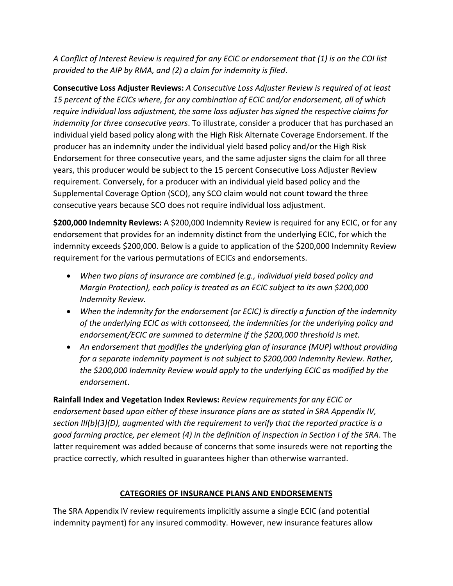*provided to the AIP by RMA, and (2) a claim for indemnity is filed*. *A Conflict of Interest Review is required for any ECIC or endorsement that (1) is on the COI list* 

 *require individual loss adjustment, the same loss adjuster has signed the respective claims for*  individual yield based policy along with the High Risk Alternate Coverage Endorsement. If the producer has an indemnity under the individual yield based policy and/or the High Risk Endorsement for three consecutive years, and the same adjuster signs the claim for all three **Consecutive Loss Adjuster Reviews:** *A Consecutive Loss Adjuster Review is required of at least 15 percent of the ECICs where, for any combination of ECIC and/or endorsement, all of which indemnity for three consecutive years*. To illustrate, consider a producer that has purchased an years, this producer would be subject to the 15 percent Consecutive Loss Adjuster Review requirement. Conversely, for a producer with an individual yield based policy and the Supplemental Coverage Option (SCO), any SCO claim would not count toward the three consecutive years because SCO does not require individual loss adjustment.

 endorsement that provides for an indemnity distinct from the underlying ECIC, for which the **\$200,000 Indemnity Reviews:** A \$200,000 Indemnity Review is required for any ECIC, or for any indemnity exceeds \$200,000. Below is a guide to application of the \$200,000 Indemnity Review requirement for the various permutations of ECICs and endorsements.

- *When two plans of insurance are combined (e.g., individual yield based policy and Margin Protection), each policy is treated as an ECIC subject to its own \$200,000 Indemnity Review.*
- *When the indemnity for the endorsement (or ECIC) is directly a function of the indemnity of the underlying ECIC as with cottonseed, the indemnities for the underlying policy and endorsement/ECIC are summed to determine if the \$200,000 threshold is met.*
- An endorsement that modifies the *underlying plan of insurance (MUP)* without providing *for a separate indemnity payment is not subject to \$200,000 Indemnity Review. Rather, the \$200,000 Indemnity Review would apply to the underlying ECIC as modified by the endorsement*.

**Rainfall Index and Vegetation Index Reviews:** *Review requirements for any ECIC or endorsement based upon either of these insurance plans are as stated in SRA Appendix IV, section III(b)(3)(D), augmented with the requirement to verify that the reported practice is a good farming practice, per element (4) in the definition of inspection in Section I of the SRA*. The latter requirement was added because of concerns that some insureds were not reporting the practice correctly, which resulted in guarantees higher than otherwise warranted.

# **CATEGORIES OF INSURANCE PLANS AND ENDORSEMENTS**

The SRA Appendix IV review requirements implicitly assume a single ECIC (and potential indemnity payment) for any insured commodity. However, new insurance features allow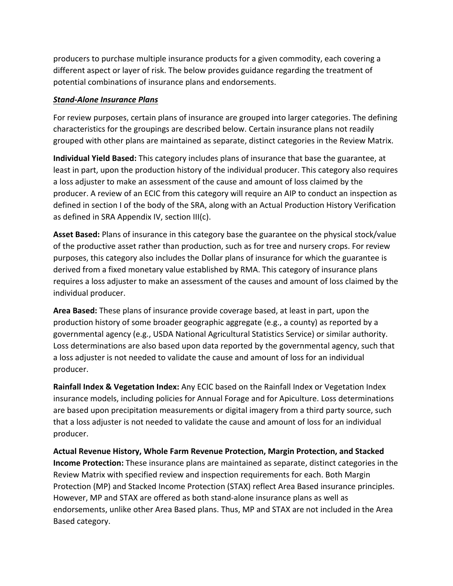producers to purchase multiple insurance products for a given commodity, each covering a different aspect or layer of risk. The below provides guidance regarding the treatment of potential combinations of insurance plans and endorsements.

## *Stand-Alone Insurance Plans*

 grouped with other plans are maintained as separate, distinct categories in the Review Matrix. For review purposes, certain plans of insurance are grouped into larger categories. The defining characteristics for the groupings are described below. Certain insurance plans not readily

 least in part, upon the production history of the individual producer. This category also requires producer. A review of an ECIC from this category will require an AIP to conduct an inspection as **Individual Yield Based:** This category includes plans of insurance that base the guarantee, at a loss adjuster to make an assessment of the cause and amount of loss claimed by the defined in section I of the body of the SRA, along with an Actual Production History Verification as defined in SRA Appendix IV, section III(c).

 of the productive asset rather than production, such as for tree and nursery crops. For review **Asset Based:** Plans of insurance in this category base the guarantee on the physical stock/value purposes, this category also includes the Dollar plans of insurance for which the guarantee is derived from a fixed monetary value established by RMA. This category of insurance plans requires a loss adjuster to make an assessment of the causes and amount of loss claimed by the individual producer.

 producer. **Area Based:** These plans of insurance provide coverage based, at least in part, upon the production history of some broader geographic aggregate (e.g., a county) as reported by a governmental agency (e.g., USDA National Agricultural Statistics Service) or similar authority. Loss determinations are also based upon data reported by the governmental agency, such that a loss adjuster is not needed to validate the cause and amount of loss for an individual

 that a loss adjuster is not needed to validate the cause and amount of loss for an individual producer. **Rainfall Index & Vegetation Index:** Any ECIC based on the Rainfall Index or Vegetation Index insurance models, including policies for Annual Forage and for Apiculture. Loss determinations are based upon precipitation measurements or digital imagery from a third party source, such

 Protection (MP) and Stacked Income Protection (STAX) reflect Area Based insurance principles. However, MP and STAX are offered as both stand-alone insurance plans as well as **Actual Revenue History, Whole Farm Revenue Protection, Margin Protection, and Stacked Income Protection:** These insurance plans are maintained as separate, distinct categories in the Review Matrix with specified review and inspection requirements for each. Both Margin endorsements, unlike other Area Based plans. Thus, MP and STAX are not included in the Area Based category.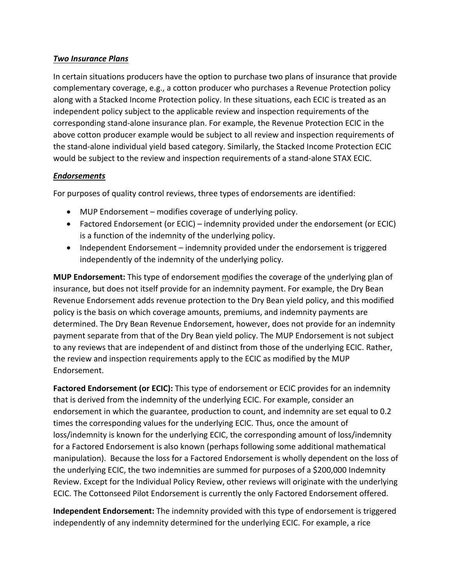### *Two Insurance Plans*

 would be subject to the review and inspection requirements of a stand-alone STAX ECIC. In certain situations producers have the option to purchase two plans of insurance that provide complementary coverage, e.g., a cotton producer who purchases a Revenue Protection policy along with a Stacked Income Protection policy. In these situations, each ECIC is treated as an independent policy subject to the applicable review and inspection requirements of the corresponding stand-alone insurance plan. For example, the Revenue Protection ECIC in the above cotton producer example would be subject to all review and inspection requirements of the stand-alone individual yield based category. Similarly, the Stacked Income Protection ECIC

### *Endorsements*

For purposes of quality control reviews, three types of endorsements are identified:

- MUP Endorsement modifies coverage of underlying policy.
- • Factored Endorsement (or ECIC) indemnity provided under the endorsement (or ECIC) is a function of the indemnity of the underlying policy.
- • Independent Endorsement indemnity provided under the endorsement is triggered independently of the indemnity of the underlying policy.

**MUP Endorsement:** This type of endorsement modifies the coverage of the underlying plan of insurance, but does not itself provide for an indemnity payment. For example, the Dry Bean Revenue Endorsement adds revenue protection to the Dry Bean yield policy, and this modified the review and inspection requirements apply to the ECIC as modified by the MUP Endorsement. policy is the basis on which coverage amounts, premiums, and indemnity payments are determined. The Dry Bean Revenue Endorsement, however, does not provide for an indemnity payment separate from that of the Dry Bean yield policy. The MUP Endorsement is not subject to any reviews that are independent of and distinct from those of the underlying ECIC. Rather,

 that is derived from the indemnity of the underlying ECIC. For example, consider an ECIC. The Cottonseed Pilot Endorsement is currently the only Factored Endorsement offered. **Factored Endorsement (or ECIC):** This type of endorsement or ECIC provides for an indemnity endorsement in which the guarantee, production to count, and indemnity are set equal to 0.2 times the corresponding values for the underlying ECIC. Thus, once the amount of loss/indemnity is known for the underlying ECIC, the corresponding amount of loss/indemnity for a Factored Endorsement is also known (perhaps following some additional mathematical manipulation). Because the loss for a Factored Endorsement is wholly dependent on the loss of the underlying ECIC, the two indemnities are summed for purposes of a \$200,000 Indemnity Review. Except for the Individual Policy Review, other reviews will originate with the underlying

**Independent Endorsement:** The indemnity provided with this type of endorsement is triggered independently of any indemnity determined for the underlying ECIC. For example, a rice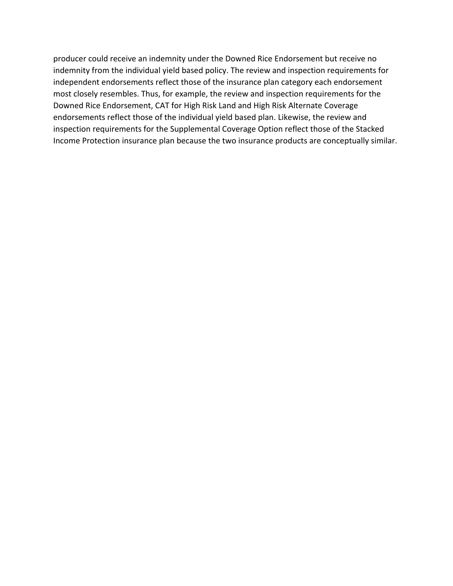producer could receive an indemnity under the Downed Rice Endorsement but receive no most closely resembles. Thus, for example, the review and inspection requirements for the indemnity from the individual yield based policy. The review and inspection requirements for independent endorsements reflect those of the insurance plan category each endorsement Downed Rice Endorsement, CAT for High Risk Land and High Risk Alternate Coverage endorsements reflect those of the individual yield based plan. Likewise, the review and inspection requirements for the Supplemental Coverage Option reflect those of the Stacked Income Protection insurance plan because the two insurance products are conceptually similar.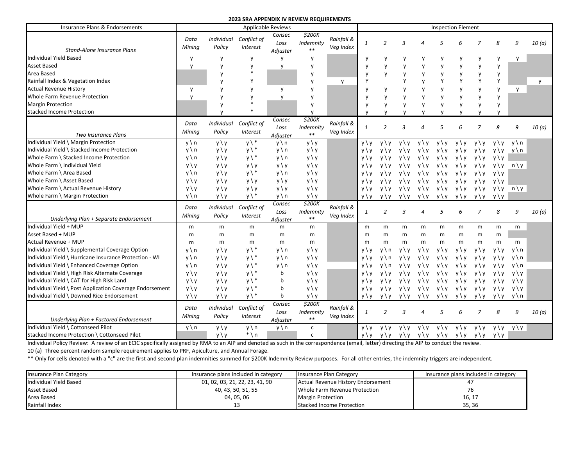Insurance Plans & Endorsements **Applicable Reviews** Applicable Reviews **Inspection Elements** Inspection Elements *Stand-Alone Insurance Plans Data Individual Conflict of Consec \$200K*<br>*Mining Policy Interest Loss Indemnity Veg Index*<br>*Adjuster* \*\* *Veg Index 1 2 3 4 5 6 7 8 9 10 (a)*  Individual Yield Based y y y y y y y y y y y y y y Asset Based y y y y y y y y y y y y y Area Based y \* y y y y y y y y y Rainfall Index & Vegetation Index y Y y y Y Y y Y Y Y Y y Actual Revenue History y y y y y y y y y y y y y y Whole Farm Revenue Protection **by** y y y y y y y y y y y y y Margin Protection y \* y y y y y y y y y Stacked Income Protection **by** y <sup>\*</sup> y y y y y y *Two Insurance Plans Data Individual Conflict of Consec \$200K*<br>*Mining Policy Interest Loss Indemnity Veg Index*<br>*Adjuster* \*\* *Veg Index 1 2 3 4 5 6 7 8 9 10 (a)*  Individual Yield \ Margin Protection Individual Yield \ Stacked Income Protection Whole Farm \ Stacked Income Protection Whole Farm \ Individual Yield Whole Farm \ Area Based Whole Farm \ Asset Based Whole Farm \ Actual Revenue History Whole Farm \ Margin Protection y\n y\y y\\* y\n y\y  $y \nmid n$   $y \nmid y$   $y \nmid^*$   $y \nmid n$   $y \nmid y$ y\n y\y y\\* y\n y\y  $y \ y \ y \ y \ y \ y \ y \ y \ y \ y \ y \ y \ y \ y \ y$ y\n y\y y\\* y\n y\y y\y y\y y\y y\y y\y y\y y\y y\y y\y y\y y\n y\y y\\* y\n y\y y\y y\y y\y y\y y\y y\y y\y y\y y\y y\n y\y y\y y\y y\y y\y y\y y\y y\y y\y y\n y \ y y \ y y \ y y \ y y \ y y \ y y \ y y \ y y \ y y \ y y \ y y \ y y \ y y \ y y \ y y \ y n \ y y \ y y \ y y \ y y \ y y \ y y \ y y \ y y \ y y \ y y \ y y \ y y \ y y \ y y \ y y \ y y \ y  $y \ y \ y \ y \ y \ y \ y \ y \ y \ y \ y \ y \ y \ y$  $y \ y \ y \ y \ y \ y \ y \ y \ y \ y \ y \ y$ *Underlying Plan + Separate Endorsement Data Individual Conflict of Consec \$200K*<br>*Mining Policy Interest Adjuster* \*\* *Veg Index*<br>*Adjuster* \*\* *Veg Index 1 2 3 4 5 6 7 8 9 10 (a)*  Individual Yield + MUP Asset Based + MUP Actual Revenue + MUP Individual Yield \ Supplemental Coverage Option Individual Yield \ Hurricane Insurance Protection - WI Individual Yield \ Enhanced Coverage Option Individual Yield \ High Risk Alternate Coverage Individual Yield \ CAT for High Risk Land Individual Yield \ Post Application Coverage Endorsement Individual Yield \ Downed Rice Endorsement m m m m m m m m m m m m m m m y\n y\y y\\* y\n y\y y\n y\y y\\* y\n y\y y\n y\y y\\* y\n y\y  $y \ y \ y \ y \ y \ \ y \ \ y \ \ y \ \ y \ \ b \qquad \ y \ y$  $y \ y \ y \ y \ y \ \ y \ \ y \ \ y \ \ y \ \ b \qquad \ y \ y$  $y \ y \ y \ y \ y \ y \$  $y \ y \ y \ y \ y \ \ y \ \ y \ \ y \ \ y \ \ b \qquad \ y \ y$ m m m m m m m m m m m m m m m m m m m m m m m m y\y y\n y\y y\y y\y y\y y\y y\y y\y y\n y\y y\n y\y y\y y\y y\y y\y y\y y\y y\n y\y y\n y\y y\y y\y y\y y\y y\y y\y y\n  $y \ y \ y \ y \ y \ y \ y \ y \ y \ y \ y \ y \ y$ y \ y y \ y y \ y y \ y y \ y y \ y y \ y y \ y y \ y  $y \ y \ y \ y \ y \ y \ y \ y \ y \ y \ y \ y \ y$  $y \ y \ y \ y \ y \ y \ y \ y \ y \ y \ y \ y \ y$ *Underlying Plan + Factored Endorsement Data Individual Conflict of Consec \$200K*<br>*Mining Policy Interest Loss Indemnity Veg Index*<br>Adjuster \*\* *Veg Index 1 2 3 4 5 6 7 8 9 10 (a)*  Individual Yield \ Cottonseed Pilot Stacked Income Protection \ Cottonseed Pilot  $y \ n \ y \ y \ n \ y \ n \ c$  $y \ y \$  \* \n c  $y \ y \ y \ y \ y \ y \ y \ y \ y \ y \ y \ y \ y$  $y \ y \ y \ y \ y \ y \ y \ y \ y \ y \ y \ y$ 

**2023 SRA APPENDIX IV REVIEW REQUIREMENTS** 

Individual Policy Review: A review of an ECIC specifically assigned by RMA to an AIP and denoted as such in the correspondence (email, letter) directing the AIP to conduct the review. 10 (a) Three percent random sample requirement applies to PRF, Apiculture, and Annual Forage.

\*\* Only for cells denoted with a "c" are the first and second plan indemnities summed for \$200K Indemnity Review purposes. For all other entries, the indemnity triggers are independent.

| Insurance Plan Category | Insurance plans included in category | Insurance Plan Category            | Insurance plans included in category |
|-------------------------|--------------------------------------|------------------------------------|--------------------------------------|
| Individual Yield Based  | 01, 02, 03, 21, 22, 23, 41, 90       | Actual Revenue History Endorsement |                                      |
| <b>Asset Based</b>      | 40, 43, 50, 51, 55                   | Whole Farm Revenue Protection      |                                      |
| Area Based              | 04, 05, 06                           | <b>Margin Protection</b>           | 16, 17                               |
| Rainfall Index          | 13                                   | <b>Stacked Income Protection</b>   | 35, 36                               |

| Elem <u>ent</u> |              |              |                 |        |  |
|-----------------|--------------|--------------|-----------------|--------|--|
| 6               | 7            | 8            | 9               | 10(a)  |  |
| y               | у            | у            | у               |        |  |
| у               | у            | у            |                 |        |  |
| у               | у            | у            |                 |        |  |
| Y               | Υ            | Υ            |                 | у      |  |
| у               | у            | у            | у               |        |  |
| у               | у            | у            |                 |        |  |
| у               | у            | у            |                 |        |  |
| y               | у            | у            |                 |        |  |
| 6               | 7            | 8            | 9               | 10(a)  |  |
| $\setminus y$   | $y \ y$      | $y \ y$      | $y \setminus n$ |        |  |
| \ y             | y\y          | $y \ y$      | y \ n           |        |  |
| \ y             | y\y          | $y \ y$      |                 |        |  |
| \у              | $y \ y$      | $y \ y$      | $n \setminus y$ |        |  |
| \ y             | $y \ y$      | $y \ y$      |                 |        |  |
| \у              | $y \ y$      | $y \ y$      |                 |        |  |
| \у              | $y \ y$      | $y \ y$      | n∖y             |        |  |
| <u>\ у</u>      | <u>y \ y</u> | $y \ y$      |                 |        |  |
| 6               | 7            | 8            | 9               | 10 (a) |  |
| m               | m            | m            | m               |        |  |
| m               | m            | m            |                 |        |  |
| m               | m            | m            | m               |        |  |
| \ y             | $y \ y$      | y \ y        | y \ n           |        |  |
| ١y              | y \ y        | $y \ y$      | $y \setminus n$ |        |  |
| \у              | y \ y        | $y \ y$      | y \ n           |        |  |
| ١y              | y \ y        | $y \ y$      | $y \ y$         |        |  |
| ١y              | $y \ y$      | $y \ y$      | y \ y           |        |  |
| \ y             | $y \ y$      | $y \ y$      | y \ y           |        |  |
| $\frac{1}{2}y$  | $y \mid y$   | $y \ y$      | y \ n           |        |  |
| 6               | 7            | 8            | 9               | 10(a)  |  |
| $\chi$          | $y \ y$      | $y \ y$      | y \ y           |        |  |
| $\vee$          | y \ y        | <u>y \ y</u> |                 |        |  |
|                 | $\sim$ iou   |              |                 |        |  |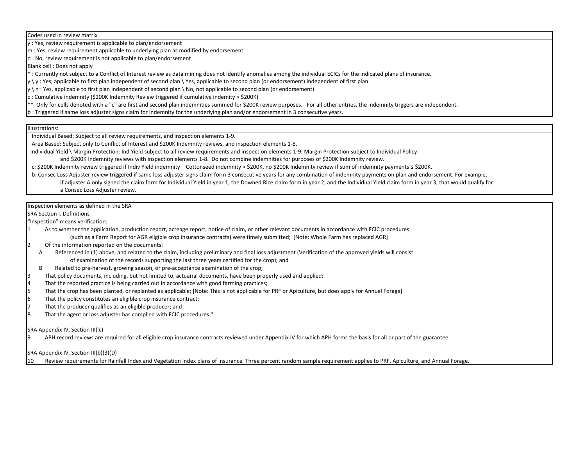Codes used in review matrix

y : Yes, review requirement is applicable to plan/endorsement

m : Yes, review requirement applicable to underlying plan as modified by endorsement

n : No, review requirement is not applicable to plan/endorsement

Blank cell : Does not apply

\* : Currently not subject to a Conflict of Interest review as data mining does not identify anomalies among the individual ECICs for the indicated plans of insurance.

 $|y \setminus y$ : Yes, applicable to first plan independent of second plan  $\setminus$  Yes, applicable to second plan (or endorsement) independent of first plan

 $\vert$ y \ n : Yes, applicable to first plan independent of second plan \ No, not applicable to second plan (or endorsement)

c : Cumulative indemnity (\$200K Indemnity Review triggered if cumulative indemity > \$200K)

\*\* Only for cells denoted with a "c" are first and second plan indemnities summed for \$200K review purposes. For all other entries, the indemnity triggers are independent.

b : Triggered if same loss adjuster signs claim for indemnity for the underlying plan and/or endorsement in 3 consecutive years.

### Illustrations:

Individual Based: Subject to all review requirements, and inspection elements 1-9.

Area Based: Subject only to Conflict of Interest and \$200K Indemnity reviews, and inspection elements 1-8.

 Individual Yield \ Margin Protection: Ind Yield subject to all review requirements and inspection elements 1-9; Margin Protection subject to Individual Policy and \$200K Indemnity reviews with inspection elements 1-8. Do not combine indemnities for purposes of \$200K Indemnity review.

c: \$200K Indemnity review triggered if Indiv Yield indemnity + Cottonseed indemnity > \$200K, no \$200K Indemnity review if sum of indemnity payments ≤ \$200K.

 b: Consec Loss Adjuster review triggered if same loss adjuster signs claim form 3 consecutive years for any combination of indemnity payments on plan and endorsement. For example, if adjuster A only signed the claim form for Individual Yield in year 1, the Downed Rice claim form in year 2, and the Individual Yield claim form in year 3, that would qualify for a Consec Loss Adjuster review.

Inspection elements as defined in the SRA

SRA Section I. Definitions

"Inspection" means verification:

- As to whether the application, production report, acreage report, notice of claim, or other relevant documents in accordance with FCIC procedures (such as a Farm Report for AGR eligible crop insurance contracts) were timely submitted; [Note: Whole Farm has replaced AGR]
- 2 Of the information reported on the documents:
- A Referenced in (1) above, and related to the claim, including preliminary and final loss adjustment (Verification of the approved yields will consist of examination of the records supporting the last three years certified for the crop); and
- B Related to pre-harvest, growing season, or pre-acceptance examination of the crop;
- 3 That policy documents, including, but not limited to, actuarial documents, have been properly used and applied;
- That the reported practice is being carried out in accordance with good farming practices;
- 5 That the crop has been planted, or replanted as applicable; [Note: This is not applicable for PRF or Apiculture, but does apply for Annual Forage]
- That the policy constitutes an eligible crop insurance contract;
- 7 That the producer qualifies as an eligible producer; and
- That the agent or loss adjuster has complied with FCIC procedures."

SRA Appendix IV, Section III('c)

APH record reviews are required for all eligible crop insurance contracts reviewed under Appendix IV for which APH forms the basis for all or part of the guarantee.

SRA Appendix IV, Section III(b)(3)(D)

10 Review requirements for Rainfall Index and Vegetation Index plans of insurance. Three percent random sample requirement applies to PRF, Apiculture, and Annual Forage.